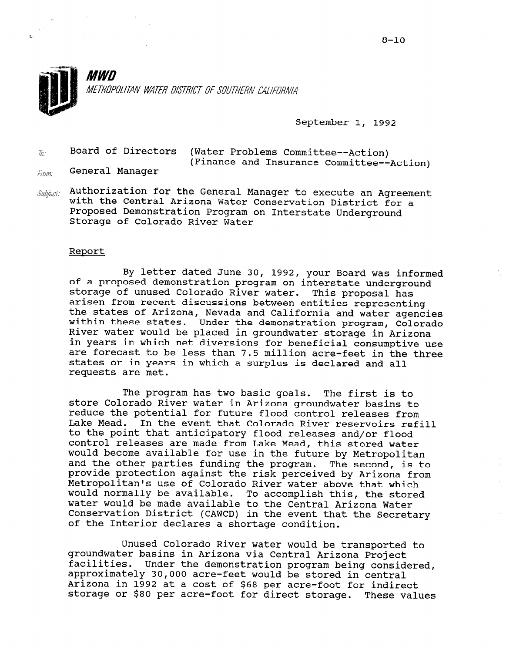

September 1, 1992

 $\bar{g}_{\ell}$  Board of Directors (Water Problems Committee--Action) (Finance and Insurance Committee--Action)

- General Manager from:
- $\mathit{Subject}$ : Authorization for the General Manager to execute an Agreement with the Central Arizona Water Conservation District for a Proposed Demonstration Program on Interstate Underground Storage of Colorado River Water

#### Report

By letter dated June 30, 1992, your Board was informe of a proposed demonstration program on interstate underground storage of unused Colorado River water. This proposal has arisen from recent discussions between entities representing the states of Arizona, Nevada and California and water agencie within these states. Under the demonstration program, Colorad River water would be placed in groundwater storage in Arizona in years in which net diversions for beneficial consumptive use are forecast to be less than 7.5 million acre-feet in the three states or in years in which a surplus is declared and all requests are met.

The program has two basic goals. The first is to store Colorado River water in Arizona groundwater basins to reduce the potential for future flood control releases from Lake Mead. In the event that Colorado River reservoirs refill to the point that anticipatory flood releases and/or flood control releases are made from Lake Mead, this stored water would become available for use in the future by Metropolitan and the other parties funding the program. The second, is to provide protection against the risk perceived by Arizona from Metropolitan's use of Colorado River water above that which would normally be available. To accomplish this, the stored water would be made available to the Central Arizona Water Conservation District (CAWCD) in the event that the Secretary of the Interior declares a shortage condition.

Unused Colorado River water would be transported to groundwater basins in Arizona via Central Arizona'Project groundwater basins in Arizona via central Arizona Froject.<br>facilities. Under the demonstration program being consider approximately 30,000 acre-feet would be stored in central approximately 50,000 acre-feet would be stored in centra. Arizona in 1992 at a cost of \$68 per acre-foot for indirect<br>storage or \$80 per acre-foot for direct storage. These values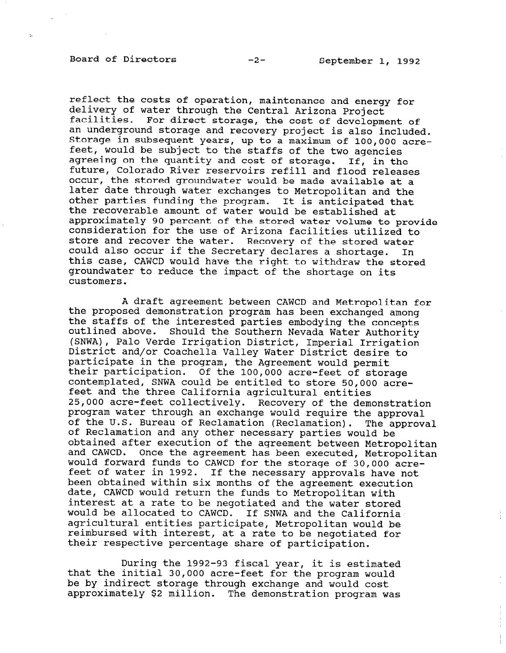# Board of Directors -2- September 1, 1992

reflect the costs of operation, maintenance and energy for delivery of water through the Central Arizona Project facilities. For direct storage, the cost of development of an underground storage and recovery project is also included. Storage in subsequent years, up to a maximum of 100,000 acrefeet, would be subject to the staffs of the two agencies agreeing on the quantity and cost of storage. If, in the future, Colorado River reservoirs refill and flood releases occur, the stored groundwater would be made available at a later date through water exchanges to Metropolitan and the other parties funding the program. It is anticipated that the recoverable amount of water would be established at approximately 90 percent of the stored water volume to provide consideration for the use of Arizona facilities utilized to store and recover the water. Recovery of the stored water could also occur if the Secretary declares a shortage. In this case, CAWCD would have the right to withdraw the stored groundwater to reduce the impact of the shortage on its customers.

A draft agreement between CAWCD and Metropolitan for the proposed demonstration program has been exchanged among the staffs of the interested parties embodying the concepts outlined above. Should the Southern Nevada Water Authority (SNWA) , Palo Verde Irrigation District, Imperial Irrigation District and/or Coachella Valley Water District desire to participate in the program, the Agreement would permi participate in the program, the ngreement would permit.<br>Their participation. Of the 100,000 acre-feet of storag contemplated, SNWA could be entitled to store 50,000 acrefeet and the three California agricultural entities 25,000 acre-feet collectively. Recovery of the demonstration program water through an exchange would require the approval of the U.S. Bureau of Reclamation (Reclamation). The approval of Reclamation and any other necessary parties would be obtained after execution of the agreement between Metropolitan and CAWCD. Once the agreement has been executed, Metropolitan and cance. Once the agreement has been executed, metropoly would forward funds to CAWCD for the storage of 30,000 acre-<br>feet of water in 1992. If the necessary approvals have not been of water in 1992. It the necessary approvars nave date, CAWCD would return the funds to Metropolitan with date, CAWCD would return the funds to Metropolitan with<br>interest at a rate to be negotiated and the water stored would be allocated to CAWCD. If SNWA and the California agricultural entities participate, Metropolitan would be agricultural entities participate, metropolitan would be<br>reimburged with interest, at a rate to be negotiated for teimbursed with interest, at a fate to be nego

During the 1999-93 fiscal  $\cdots$  it is estimated During the 1992-93 IISCal year, it is estimate that the initial 30,000 acre-feet for the program would be by indirect storage through exchange and would cost<br>approximately \$2 million. The demonstration program was